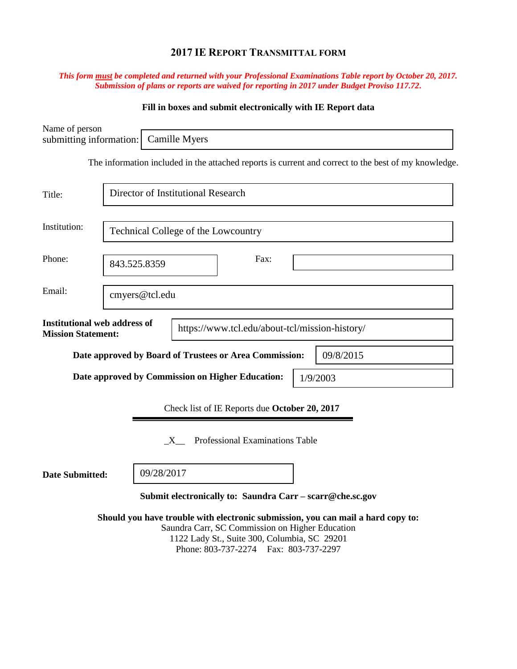# **2017 IE REPORT TRANSMITTAL FORM**

### *This form must be completed and returned with your Professional Examinations Table report by October 20, 2017. Submission of plans or reports are waived for reporting in 2017 under Budget Proviso 117.72.*

## **Fill in boxes and submit electronically with IE Report data**

| Name of person<br>submitting information:                        |                                                  | Camille Myers                       |                                                                                                                                           |                                                                                                      |  |  |
|------------------------------------------------------------------|--------------------------------------------------|-------------------------------------|-------------------------------------------------------------------------------------------------------------------------------------------|------------------------------------------------------------------------------------------------------|--|--|
|                                                                  |                                                  |                                     |                                                                                                                                           | The information included in the attached reports is current and correct to the best of my knowledge. |  |  |
|                                                                  |                                                  |                                     |                                                                                                                                           |                                                                                                      |  |  |
| Title:                                                           |                                                  | Director of Institutional Research  |                                                                                                                                           |                                                                                                      |  |  |
| Institution:                                                     |                                                  | Technical College of the Lowcountry |                                                                                                                                           |                                                                                                      |  |  |
| Phone:                                                           | 843.525.8359                                     |                                     | Fax:                                                                                                                                      |                                                                                                      |  |  |
| Email:                                                           |                                                  | cmyers@tcl.edu                      |                                                                                                                                           |                                                                                                      |  |  |
| <b>Institutional web address of</b><br><b>Mission Statement:</b> |                                                  |                                     | https://www.tcl.edu/about-tcl/mission-history/                                                                                            |                                                                                                      |  |  |
|                                                                  |                                                  |                                     | Date approved by Board of Trustees or Area Commission:                                                                                    | 09/8/2015                                                                                            |  |  |
|                                                                  | Date approved by Commission on Higher Education: |                                     |                                                                                                                                           | 1/9/2003                                                                                             |  |  |
|                                                                  |                                                  |                                     | Check list of IE Reports due October 20, 2017                                                                                             |                                                                                                      |  |  |
|                                                                  |                                                  | X                                   | Professional Examinations Table                                                                                                           |                                                                                                      |  |  |
| 09/28/2017<br><b>Date Submitted:</b>                             |                                                  |                                     |                                                                                                                                           |                                                                                                      |  |  |
|                                                                  |                                                  |                                     |                                                                                                                                           | Submit electronically to: Saundra Carr - scarr@che.sc.gov                                            |  |  |
|                                                                  |                                                  |                                     | Saundra Carr, SC Commission on Higher Education<br>1122 Lady St., Suite 300, Columbia, SC 29201<br>Phone: 803-737-2274  Fax: 803-737-2297 | Should you have trouble with electronic submission, you can mail a hard copy to:                     |  |  |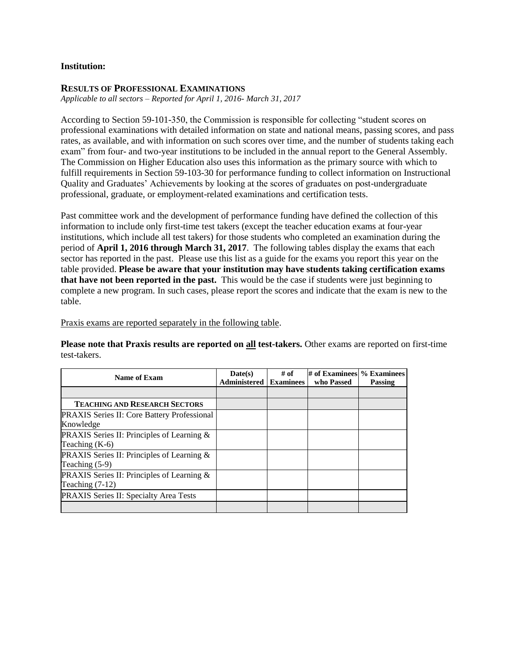### **Institution:**

#### **RESULTS OF PROFESSIONAL EXAMINATIONS**

*Applicable to all sectors – Reported for April 1, 2016- March 31, 2017*

According to Section 59-101-350, the Commission is responsible for collecting "student scores on professional examinations with detailed information on state and national means, passing scores, and pass rates, as available, and with information on such scores over time, and the number of students taking each exam" from four- and two-year institutions to be included in the annual report to the General Assembly. The Commission on Higher Education also uses this information as the primary source with which to fulfill requirements in Section 59-103-30 for performance funding to collect information on Instructional Quality and Graduates' Achievements by looking at the scores of graduates on post-undergraduate professional, graduate, or employment-related examinations and certification tests.

Past committee work and the development of performance funding have defined the collection of this information to include only first-time test takers (except the teacher education exams at four-year institutions, which include all test takers) for those students who completed an examination during the period of **April 1, 2016 through March 31, 2017**. The following tables display the exams that each sector has reported in the past. Please use this list as a guide for the exams you report this year on the table provided. **Please be aware that your institution may have students taking certification exams that have not been reported in the past.** This would be the case if students were just beginning to complete a new program. In such cases, please report the scores and indicate that the exam is new to the table.

Praxis exams are reported separately in the following table.

**Please note that Praxis results are reported on all test-takers.** Other exams are reported on first-time test-takers.

| Name of Exam                                         | Date(s)<br><b>Administered   Examinees</b> | $#$ of | # of Examinees % Examinees<br>who Passed | <b>Passing</b> |
|------------------------------------------------------|--------------------------------------------|--------|------------------------------------------|----------------|
|                                                      |                                            |        |                                          |                |
| <b>TEACHING AND RESEARCH SECTORS</b>                 |                                            |        |                                          |                |
| <b>PRAXIS Series II: Core Battery Professional</b>   |                                            |        |                                          |                |
| Knowledge                                            |                                            |        |                                          |                |
| <b>PRAXIS</b> Series II: Principles of Learning $\&$ |                                            |        |                                          |                |
| Teaching $(K-6)$                                     |                                            |        |                                          |                |
| PRAXIS Series II: Principles of Learning &           |                                            |        |                                          |                |
| Teaching $(5-9)$                                     |                                            |        |                                          |                |
| PRAXIS Series II: Principles of Learning &           |                                            |        |                                          |                |
| Teaching $(7-12)$                                    |                                            |        |                                          |                |
| PRAXIS Series II: Specialty Area Tests               |                                            |        |                                          |                |
|                                                      |                                            |        |                                          |                |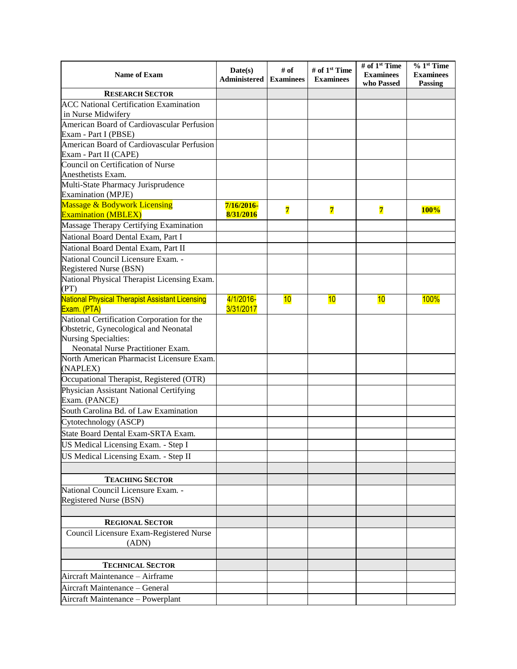| Name of Exam                                                                                       | Date(s)<br>Administered | # of<br><b>Examinees</b> | # of 1 <sup>st</sup> Time<br><b>Examinees</b> | # of 1 <sup>st</sup> Time<br><b>Examinees</b><br>who Passed | $% 1st$ Time<br><b>Examinees</b><br><b>Passing</b> |
|----------------------------------------------------------------------------------------------------|-------------------------|--------------------------|-----------------------------------------------|-------------------------------------------------------------|----------------------------------------------------|
| <b>RESEARCH SECTOR</b>                                                                             |                         |                          |                                               |                                                             |                                                    |
| <b>ACC National Certification Examination</b>                                                      |                         |                          |                                               |                                                             |                                                    |
| in Nurse Midwifery                                                                                 |                         |                          |                                               |                                                             |                                                    |
| American Board of Cardiovascular Perfusion                                                         |                         |                          |                                               |                                                             |                                                    |
| Exam - Part I (PBSE)                                                                               |                         |                          |                                               |                                                             |                                                    |
| American Board of Cardiovascular Perfusion<br>Exam - Part II (CAPE)                                |                         |                          |                                               |                                                             |                                                    |
| Council on Certification of Nurse                                                                  |                         |                          |                                               |                                                             |                                                    |
| Anesthetists Exam.                                                                                 |                         |                          |                                               |                                                             |                                                    |
| Multi-State Pharmacy Jurisprudence<br><b>Examination</b> (MPJE)                                    |                         |                          |                                               |                                                             |                                                    |
| <b>Massage &amp; Bodywork Licensing</b><br><b>Examination (MBLEX)</b>                              | 7/16/2016-<br>8/31/2016 | $\overline{\mathbf{7}}$  | $\overline{7}$                                | $\overline{7}$                                              | 100%                                               |
| Massage Therapy Certifying Examination                                                             |                         |                          |                                               |                                                             |                                                    |
| National Board Dental Exam, Part I                                                                 |                         |                          |                                               |                                                             |                                                    |
| National Board Dental Exam, Part II                                                                |                         |                          |                                               |                                                             |                                                    |
| National Council Licensure Exam. -                                                                 |                         |                          |                                               |                                                             |                                                    |
| Registered Nurse (BSN)                                                                             |                         |                          |                                               |                                                             |                                                    |
| National Physical Therapist Licensing Exam.                                                        |                         |                          |                                               |                                                             |                                                    |
| (PT)                                                                                               |                         |                          |                                               |                                                             |                                                    |
| <b>National Physical Therapist Assistant Licensing</b><br>Exam. (PTA)                              | 4/1/2016-<br>3/31/2017  | 10                       | 10                                            | 10                                                          | <b>100%</b>                                        |
| National Certification Corporation for the                                                         |                         |                          |                                               |                                                             |                                                    |
| Obstetric, Gynecological and Neonatal<br>Nursing Specialties:<br>Neonatal Nurse Practitioner Exam. |                         |                          |                                               |                                                             |                                                    |
| North American Pharmacist Licensure Exam.                                                          |                         |                          |                                               |                                                             |                                                    |
| (NAPLEX)                                                                                           |                         |                          |                                               |                                                             |                                                    |
| Occupational Therapist, Registered (OTR)                                                           |                         |                          |                                               |                                                             |                                                    |
| Physician Assistant National Certifying<br>Exam. (PANCE)                                           |                         |                          |                                               |                                                             |                                                    |
| South Carolina Bd. of Law Examination                                                              |                         |                          |                                               |                                                             |                                                    |
| Cytotechnology (ASCP)                                                                              |                         |                          |                                               |                                                             |                                                    |
| State Board Dental Exam-SRTA Exam.                                                                 |                         |                          |                                               |                                                             |                                                    |
| US Medical Licensing Exam. - Step I                                                                |                         |                          |                                               |                                                             |                                                    |
| US Medical Licensing Exam. - Step II                                                               |                         |                          |                                               |                                                             |                                                    |
|                                                                                                    |                         |                          |                                               |                                                             |                                                    |
| <b>TEACHING SECTOR</b>                                                                             |                         |                          |                                               |                                                             |                                                    |
| National Council Licensure Exam. -                                                                 |                         |                          |                                               |                                                             |                                                    |
| Registered Nurse (BSN)                                                                             |                         |                          |                                               |                                                             |                                                    |
| <b>REGIONAL SECTOR</b>                                                                             |                         |                          |                                               |                                                             |                                                    |
| Council Licensure Exam-Registered Nurse<br>(ADN)                                                   |                         |                          |                                               |                                                             |                                                    |
|                                                                                                    |                         |                          |                                               |                                                             |                                                    |
| <b>TECHNICAL SECTOR</b>                                                                            |                         |                          |                                               |                                                             |                                                    |
| Aircraft Maintenance - Airframe                                                                    |                         |                          |                                               |                                                             |                                                    |
| Aircraft Maintenance - General                                                                     |                         |                          |                                               |                                                             |                                                    |
| Aircraft Maintenance - Powerplant                                                                  |                         |                          |                                               |                                                             |                                                    |